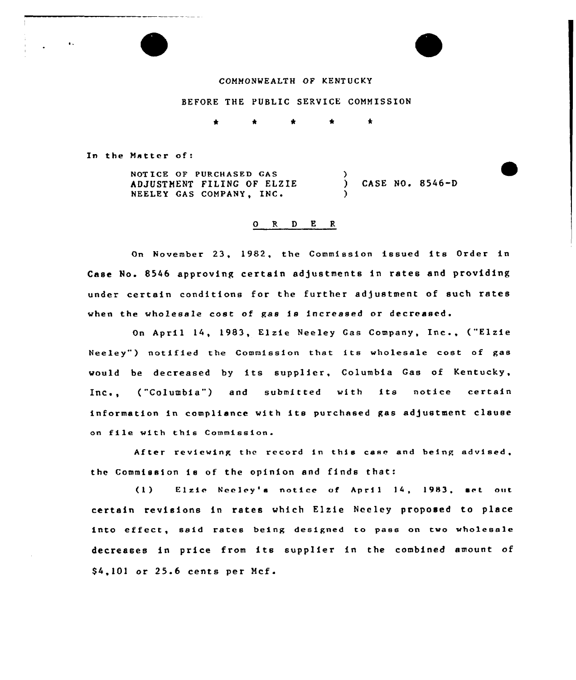### COMMONWEALTH OF KENTUCKY

#### BEFORE THE PUBLIC SERVICE COMMISSION

s \* \* \* \*

In the Matter of

 $\bullet$  .

NOT ICE OF PURCHASED GAS ADJUSTMENT FILING OF ELZIE NEELEY GAS COMPANY, INC.  $\lambda$ ) CASE NO. 8546-D )

#### 0 R <sup>D</sup> E <sup>R</sup>

On November 23, 1982, the Commission issued its Order in Case No. 8546 approving certain adjustments in rates and providing under certain conditions for the further adjustment of such rates when the wholesale cost of gas is increased or d

April 14, 1983, Elzie Neeley Gas Company, Inc., ("Elzle Neeley") notified the Commission that its wholesale cost of gas would be decreased by its supplier, Columbia Gas of Kentucky, , ("Columbia") and submitted with its notice certai information in compliance with its purchased gas adjustment clause on file with this Commission.

After reviewing the record in this case and being advised, the Commission ie of the opinion and finds that:

(1) Elzic Neeley's notice of April 14, 1983, set out certain revisions in rates which Elxie Neeley proposed to place into effect, said rates being designed to pass on two wholesale decreases in price from its supplier in the combined amount of \$4,101 or 25.6 cents per Mcf.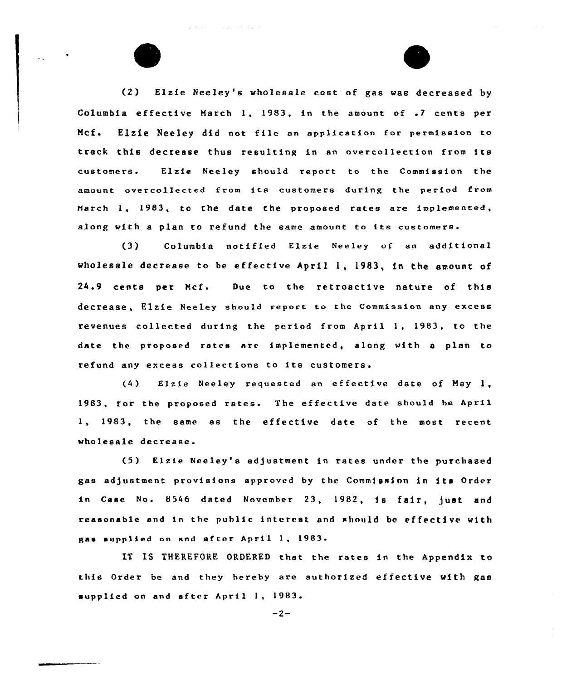(2) Elzie Neeley's wholesale cost of gas was decreased by Columbia effective March 1, 1983, in the amount of .7 cents per Ncf. Elsie Neeley did not file an application for permission to track this decrease thus resulting in an overcollection from its customers. Elzie Neeley should report to the Commission the amount overcollected from its customers during the period from March 1, 1983, to the date the proposed rates are implemented, along with <sup>a</sup> plan to refund the same amount to its customers.

فكالقراط القارعا الأنواري الرازي

a sa sansa

(3) Columbia notified Elzie Neeley of an additional wholesale decrease to be effective April 1, 1983, in the amount of 24.9 cents per Ncf. Due to the retroactive nature of this decrease, Elzie Neeley should report to the Commission any excess revenues collected during the period from April 1, 1983, to the date the proposed rates are implemented, along with <sup>a</sup> plan to refund any excess collections to its customers.

(4) Elzie Neeley requested an effective date of Hay 1, 1983, for the proposed rates. The effective date should be April 1, 1983, the same as the effective date of the most recent wholesale decrease.

(5) Elzie Neeley's ad)ustment in rates under the purchased gas adjustment provisions approved by the Commission in its Order in Case No. 8546 dated November 23, 1982, is fair, just and reasonab1e and in the public interest and should be effective with gas supplied on and af ter April 1, 1983.

IT IS THEREFORE ORDERED that the rates in the Appendix to this Order be and they hereby are authorized effective with gas supplied on and after April 1, 1983.

 $-2-$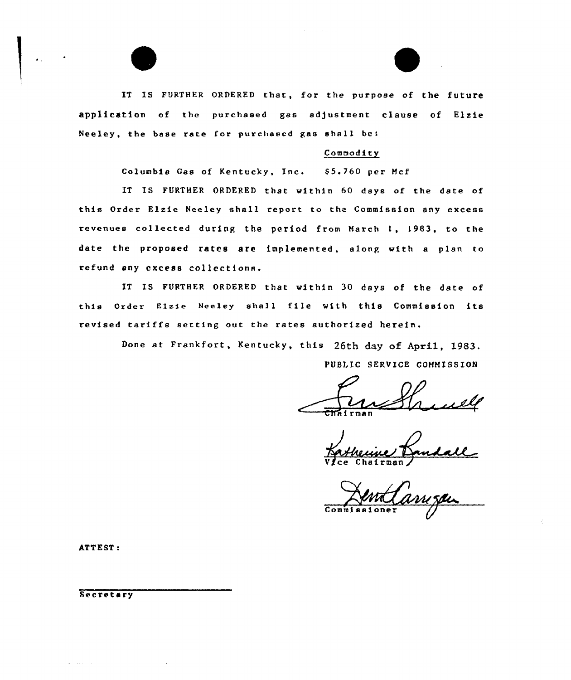IT IS FURTHER ORDERED that, for the purpose of the future application of the purchased gas adjustment clause of Elzie Neeley, the base rate for purchased gas shall be:

# Commodity

Columbia Gas of Kentucky, Inc. \$5.760 per Mcf

IT IS FURTHER ORDERED that within 60 days of the date of this Order Elzie Neeley shall report to the Commission any excess revenues collected during the period from March 1, 1983, to the date the proposed rates are implemented, along with a plan to refund any excess collections.

IT IS FURTHER ORDERED that within 30 days of the date of this Order Elzie Neeley shall file with this Commission its revised tariffs setting out the rates authorized herein.

> Done at Frankfort, Kentucky, this 26th day of April, 1983. PUBLIC SERVICE COMMISSION

 $\mathfrak{cm}$ 

Vice Chairman)

Co

ATTEST:

Secretary

 $\omega_{\rm{max}}$  and  $\omega_{\rm{max}}$